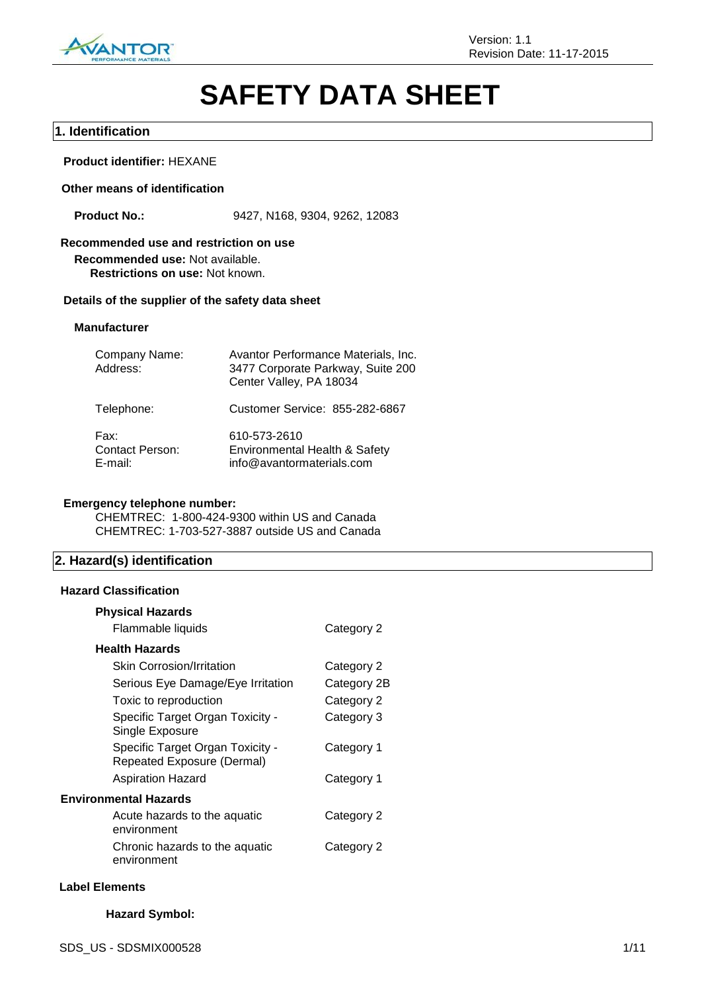

# **SAFETY DATA SHEET**

## **1. Identification**

## **Product identifier:** HEXANE

#### **Other means of identification**

**Product No.:** 9427, N168, 9304, 9262, 12083

## **Recommended use and restriction on use**

**Recommended use:** Not available. **Restrictions on use:** Not known.

#### **Details of the supplier of the safety data sheet**

#### **Manufacturer**

| Company Name:<br>Address:                 | Avantor Performance Materials, Inc.<br>3477 Corporate Parkway, Suite 200<br>Center Valley, PA 18034 |
|-------------------------------------------|-----------------------------------------------------------------------------------------------------|
| Telephone:                                | Customer Service: 855-282-6867                                                                      |
| Fax:<br><b>Contact Person:</b><br>E-mail: | 610-573-2610<br>Environmental Health & Safety<br>info@avantormaterials.com                          |

## **Emergency telephone number:**

CHEMTREC: 1-800-424-9300 within US and Canada CHEMTREC: 1-703-527-3887 outside US and Canada

## **2. Hazard(s) identification**

#### **Hazard Classification**

| <b>Physical Hazards</b>                                        |             |
|----------------------------------------------------------------|-------------|
| Flammable liquids                                              | Category 2  |
| <b>Health Hazards</b>                                          |             |
| <b>Skin Corrosion/Irritation</b>                               | Category 2  |
| Serious Eye Damage/Eye Irritation                              | Category 2B |
| Toxic to reproduction                                          | Category 2  |
| Specific Target Organ Toxicity -<br>Single Exposure            | Category 3  |
| Specific Target Organ Toxicity -<br>Repeated Exposure (Dermal) | Category 1  |
| <b>Aspiration Hazard</b>                                       | Category 1  |
| <b>Environmental Hazards</b>                                   |             |
| Acute hazards to the aquatic<br>environment                    | Category 2  |
| Chronic hazards to the aquatic<br>environment                  | Category 2  |

#### **Label Elements**

## **Hazard Symbol:**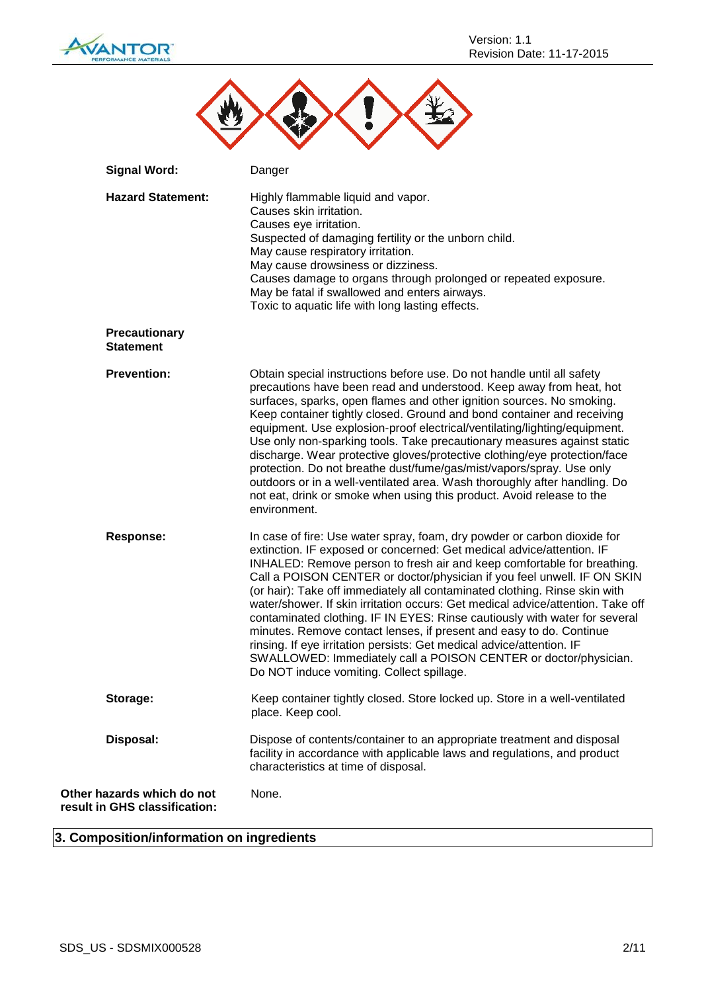

| <b>Signal Word:</b>                            | Danger                                                                                                                                                                                                                                                                                                                                                                                                                                                                                                                                                                                                                                                                                                                                                                                                                  |
|------------------------------------------------|-------------------------------------------------------------------------------------------------------------------------------------------------------------------------------------------------------------------------------------------------------------------------------------------------------------------------------------------------------------------------------------------------------------------------------------------------------------------------------------------------------------------------------------------------------------------------------------------------------------------------------------------------------------------------------------------------------------------------------------------------------------------------------------------------------------------------|
| <b>Hazard Statement:</b>                       | Highly flammable liquid and vapor.<br>Causes skin irritation.<br>Causes eye irritation.<br>Suspected of damaging fertility or the unborn child.<br>May cause respiratory irritation.<br>May cause drowsiness or dizziness.<br>Causes damage to organs through prolonged or repeated exposure.<br>May be fatal if swallowed and enters airways.<br>Toxic to aquatic life with long lasting effects.                                                                                                                                                                                                                                                                                                                                                                                                                      |
| <b>Precautionary</b><br><b>Statement</b>       |                                                                                                                                                                                                                                                                                                                                                                                                                                                                                                                                                                                                                                                                                                                                                                                                                         |
| <b>Prevention:</b>                             | Obtain special instructions before use. Do not handle until all safety<br>precautions have been read and understood. Keep away from heat, hot<br>surfaces, sparks, open flames and other ignition sources. No smoking.<br>Keep container tightly closed. Ground and bond container and receiving<br>equipment. Use explosion-proof electrical/ventilating/lighting/equipment.<br>Use only non-sparking tools. Take precautionary measures against static<br>discharge. Wear protective gloves/protective clothing/eye protection/face<br>protection. Do not breathe dust/fume/gas/mist/vapors/spray. Use only<br>outdoors or in a well-ventilated area. Wash thoroughly after handling. Do<br>not eat, drink or smoke when using this product. Avoid release to the<br>environment.                                     |
| <b>Response:</b>                               | In case of fire: Use water spray, foam, dry powder or carbon dioxide for<br>extinction. IF exposed or concerned: Get medical advice/attention. IF<br>INHALED: Remove person to fresh air and keep comfortable for breathing.<br>Call a POISON CENTER or doctor/physician if you feel unwell. IF ON SKIN<br>(or hair): Take off immediately all contaminated clothing. Rinse skin with<br>water/shower. If skin irritation occurs: Get medical advice/attention. Take off<br>contaminated clothing. IF IN EYES: Rinse cautiously with water for several<br>minutes. Remove contact lenses, if present and easy to do. Continue<br>rinsing. If eye irritation persists: Get medical advice/attention. IF<br>SWALLOWED: Immediately call a POISON CENTER or doctor/physician.<br>Do NOT induce vomiting. Collect spillage. |
| Storage:                                       | Keep container tightly closed. Store locked up. Store in a well-ventilated<br>place. Keep cool.                                                                                                                                                                                                                                                                                                                                                                                                                                                                                                                                                                                                                                                                                                                         |
| Disposal:                                      | Dispose of contents/container to an appropriate treatment and disposal<br>facility in accordance with applicable laws and regulations, and product<br>characteristics at time of disposal.                                                                                                                                                                                                                                                                                                                                                                                                                                                                                                                                                                                                                              |
| hazards which do not<br>in GHS classification: | None.                                                                                                                                                                                                                                                                                                                                                                                                                                                                                                                                                                                                                                                                                                                                                                                                                   |

## **3. Composition/information on ingredients**

**Other result**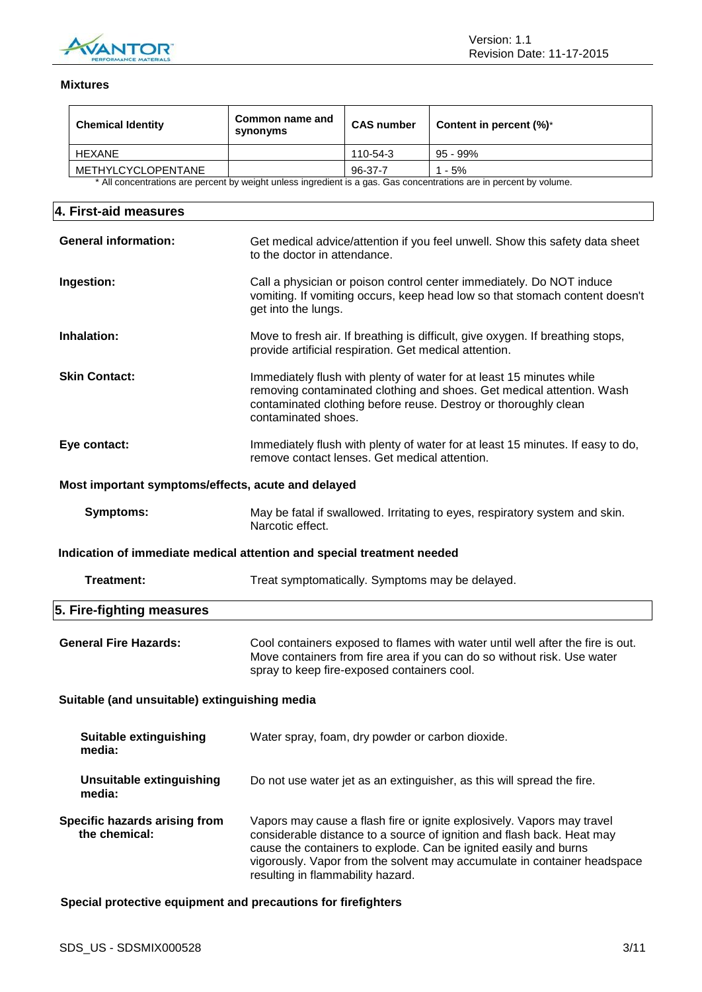

## **Mixtures**

| <b>Chemical Identity</b>                                               | Common name and<br>synonyms                            | <b>CAS number</b> | Content in percent (%)*                                                                                                                                                                                                                                                                          |
|------------------------------------------------------------------------|--------------------------------------------------------|-------------------|--------------------------------------------------------------------------------------------------------------------------------------------------------------------------------------------------------------------------------------------------------------------------------------------------|
| <b>HEXANE</b>                                                          |                                                        | 110-54-3          | 95 - 99%                                                                                                                                                                                                                                                                                         |
| METHYLCYCLOPENTANE                                                     |                                                        | 96-37-7           | $1 - 5%$                                                                                                                                                                                                                                                                                         |
|                                                                        |                                                        |                   | * All concentrations are percent by weight unless ingredient is a gas. Gas concentrations are in percent by volume.                                                                                                                                                                              |
|                                                                        |                                                        |                   |                                                                                                                                                                                                                                                                                                  |
| 4. First-aid measures                                                  |                                                        |                   |                                                                                                                                                                                                                                                                                                  |
| <b>General information:</b>                                            | to the doctor in attendance.                           |                   | Get medical advice/attention if you feel unwell. Show this safety data sheet                                                                                                                                                                                                                     |
| Ingestion:                                                             | get into the lungs.                                    |                   | Call a physician or poison control center immediately. Do NOT induce<br>vomiting. If vomiting occurs, keep head low so that stomach content doesn't                                                                                                                                              |
| Inhalation:                                                            | provide artificial respiration. Get medical attention. |                   | Move to fresh air. If breathing is difficult, give oxygen. If breathing stops,                                                                                                                                                                                                                   |
| <b>Skin Contact:</b>                                                   | contaminated shoes.                                    |                   | Immediately flush with plenty of water for at least 15 minutes while<br>removing contaminated clothing and shoes. Get medical attention. Wash<br>contaminated clothing before reuse. Destroy or thoroughly clean                                                                                 |
| Eye contact:                                                           | remove contact lenses. Get medical attention.          |                   | Immediately flush with plenty of water for at least 15 minutes. If easy to do,                                                                                                                                                                                                                   |
| Most important symptoms/effects, acute and delayed                     |                                                        |                   |                                                                                                                                                                                                                                                                                                  |
| <b>Symptoms:</b>                                                       | Narcotic effect.                                       |                   | May be fatal if swallowed. Irritating to eyes, respiratory system and skin.                                                                                                                                                                                                                      |
| Indication of immediate medical attention and special treatment needed |                                                        |                   |                                                                                                                                                                                                                                                                                                  |
| <b>Treatment:</b>                                                      | Treat symptomatically. Symptoms may be delayed.        |                   |                                                                                                                                                                                                                                                                                                  |
| 5. Fire-fighting measures                                              |                                                        |                   |                                                                                                                                                                                                                                                                                                  |
| <b>General Fire Hazards:</b>                                           | spray to keep fire-exposed containers cool.            |                   | Cool containers exposed to flames with water until well after the fire is out.<br>Move containers from fire area if you can do so without risk. Use water                                                                                                                                        |
| Suitable (and unsuitable) extinguishing media                          |                                                        |                   |                                                                                                                                                                                                                                                                                                  |
| <b>Suitable extinguishing</b><br>media:                                | Water spray, foam, dry powder or carbon dioxide.       |                   |                                                                                                                                                                                                                                                                                                  |
| <b>Unsuitable extinguishing</b><br>media:                              |                                                        |                   | Do not use water jet as an extinguisher, as this will spread the fire.                                                                                                                                                                                                                           |
| Specific hazards arising from<br>the chemical:                         | resulting in flammability hazard.                      |                   | Vapors may cause a flash fire or ignite explosively. Vapors may travel<br>considerable distance to a source of ignition and flash back. Heat may<br>cause the containers to explode. Can be ignited easily and burns<br>vigorously. Vapor from the solvent may accumulate in container headspace |

**Special protective equipment and precautions for firefighters**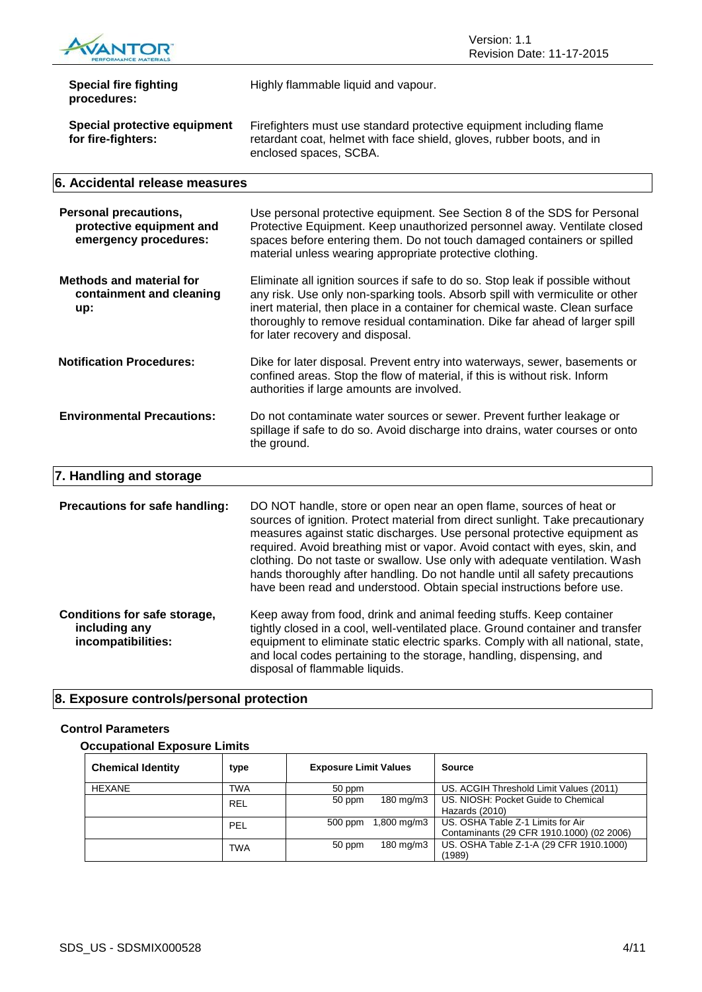

| <b>Special fire fighting</b><br>procedures:                                | Highly flammable liquid and vapour.                                                                                                                                                                                                                                                                                                                               |
|----------------------------------------------------------------------------|-------------------------------------------------------------------------------------------------------------------------------------------------------------------------------------------------------------------------------------------------------------------------------------------------------------------------------------------------------------------|
| <b>Special protective equipment</b><br>for fire-fighters:                  | Firefighters must use standard protective equipment including flame<br>retardant coat, helmet with face shield, gloves, rubber boots, and in<br>enclosed spaces, SCBA.                                                                                                                                                                                            |
| 6. Accidental release measures                                             |                                                                                                                                                                                                                                                                                                                                                                   |
| Personal precautions,<br>protective equipment and<br>emergency procedures: | Use personal protective equipment. See Section 8 of the SDS for Personal<br>Protective Equipment. Keep unauthorized personnel away. Ventilate closed<br>spaces before entering them. Do not touch damaged containers or spilled<br>material unless wearing appropriate protective clothing.                                                                       |
| <b>Methods and material for</b><br>containment and cleaning<br>up:         | Eliminate all ignition sources if safe to do so. Stop leak if possible without<br>any risk. Use only non-sparking tools. Absorb spill with vermiculite or other<br>inert material, then place in a container for chemical waste. Clean surface<br>thoroughly to remove residual contamination. Dike far ahead of larger spill<br>for later recovery and disposal. |
| <b>Notification Procedures:</b>                                            | Dike for later disposal. Prevent entry into waterways, sewer, basements or<br>confined areas. Stop the flow of material, if this is without risk. Inform<br>authorities if large amounts are involved.                                                                                                                                                            |

## **Environmental Precautions:** Do not contaminate water sources or sewer. Prevent further leakage or spillage if safe to do so. Avoid discharge into drains, water courses or onto the ground.

## **7. Handling and storage**

**Precautions for safe handling:** DO NOT handle, store or open near an open flame, sources of heat or sources of ignition. Protect material from direct sunlight. Take precautionary measures against static discharges. Use personal protective equipment as required. Avoid breathing mist or vapor. Avoid contact with eyes, skin, and clothing. Do not taste or swallow. Use only with adequate ventilation. Wash hands thoroughly after handling. Do not handle until all safety precautions have been read and understood. Obtain special instructions before use. **Conditions for safe storage,**  Keep away from food, drink and animal feeding stuffs. Keep container

**including any incompatibilities:** tightly closed in a cool, well-ventilated place. Ground container and transfer equipment to eliminate static electric sparks. Comply with all national, state, and local codes pertaining to the storage, handling, dispensing, and disposal of flammable liquids.

## **8. Exposure controls/personal protection**

## **Control Parameters**

## **Occupational Exposure Limits**

| <b>Chemical Identity</b> | type       | <b>Exposure Limit Values</b> |             | <b>Source</b>                             |
|--------------------------|------------|------------------------------|-------------|-------------------------------------------|
| HEXANE                   | TWA        | 50 ppm                       |             | US. ACGIH Threshold Limit Values (2011)   |
|                          | <b>REL</b> | 50 ppm                       | 180 mg/m3   | US. NIOSH: Pocket Guide to Chemical       |
|                          |            |                              |             | Hazards (2010)                            |
|                          | PEL        | 500 ppm                      | 1,800 mg/m3 | US. OSHA Table Z-1 Limits for Air         |
|                          |            |                              |             | Contaminants (29 CFR 1910.1000) (02 2006) |
|                          | TWA        | 50 ppm                       | 180 mg/m3   | US. OSHA Table Z-1-A (29 CFR 1910.1000)   |
|                          |            |                              |             | (1989)                                    |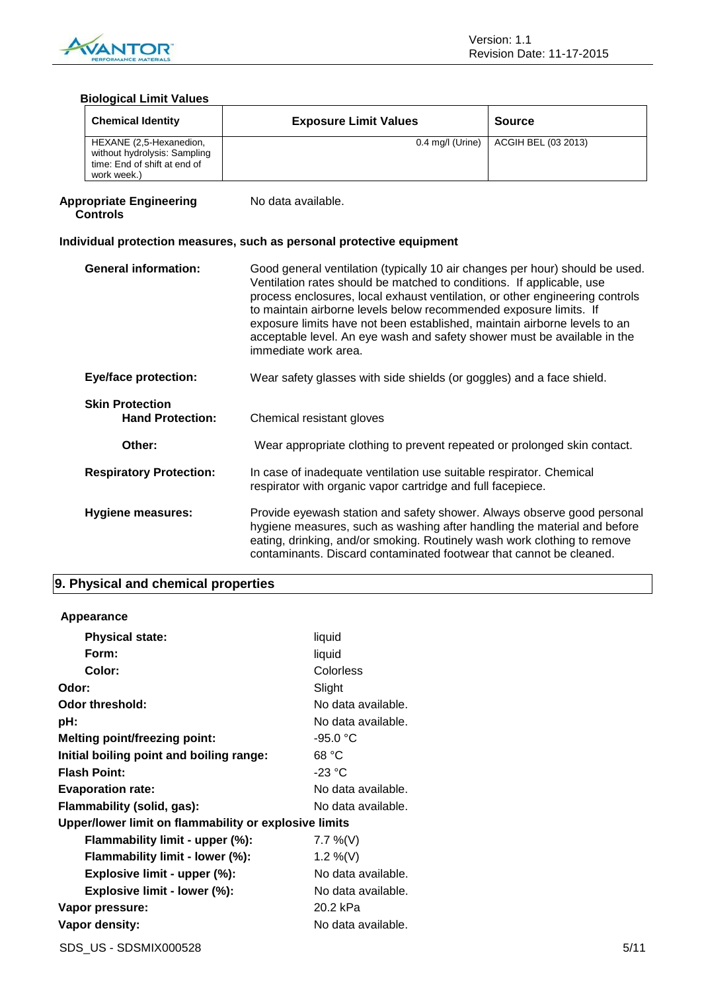

## **Biological Limit Values**

| <b>Chemical Identity</b>                                                                               | <b>Exposure Limit Values</b> | <b>Source</b>       |
|--------------------------------------------------------------------------------------------------------|------------------------------|---------------------|
| HEXANE (2,5-Hexanedion,<br>without hydrolysis: Sampling<br>time: End of shift at end of<br>work week.) | 0.4 mg/l (Urine)             | ACGIH BEL (03 2013) |

#### **Appropriate Engineering Controls**

No data available.

## **Individual protection measures, such as personal protective equipment**

| <b>General information:</b>                       | Good general ventilation (typically 10 air changes per hour) should be used.<br>Ventilation rates should be matched to conditions. If applicable, use<br>process enclosures, local exhaust ventilation, or other engineering controls<br>to maintain airborne levels below recommended exposure limits. If<br>exposure limits have not been established, maintain airborne levels to an<br>acceptable level. An eye wash and safety shower must be available in the<br>immediate work area. |
|---------------------------------------------------|---------------------------------------------------------------------------------------------------------------------------------------------------------------------------------------------------------------------------------------------------------------------------------------------------------------------------------------------------------------------------------------------------------------------------------------------------------------------------------------------|
| <b>Eye/face protection:</b>                       | Wear safety glasses with side shields (or goggles) and a face shield.                                                                                                                                                                                                                                                                                                                                                                                                                       |
| <b>Skin Protection</b><br><b>Hand Protection:</b> | Chemical resistant gloves                                                                                                                                                                                                                                                                                                                                                                                                                                                                   |
| Other:                                            | Wear appropriate clothing to prevent repeated or prolonged skin contact.                                                                                                                                                                                                                                                                                                                                                                                                                    |
| <b>Respiratory Protection:</b>                    | In case of inadequate ventilation use suitable respirator. Chemical<br>respirator with organic vapor cartridge and full facepiece.                                                                                                                                                                                                                                                                                                                                                          |
| Hygiene measures:                                 | Provide eyewash station and safety shower. Always observe good personal<br>hygiene measures, such as washing after handling the material and before<br>eating, drinking, and/or smoking. Routinely wash work clothing to remove<br>contaminants. Discard contaminated footwear that cannot be cleaned.                                                                                                                                                                                      |

## **9. Physical and chemical properties**

## **Appearance**

| <b>Physical state:</b>                                | liquid             |
|-------------------------------------------------------|--------------------|
| Form:                                                 | liquid             |
| Color:                                                | Colorless          |
| Odor:                                                 | Slight             |
| Odor threshold:                                       | No data available. |
| pH:                                                   | No data available. |
| <b>Melting point/freezing point:</b>                  | $-95.0 °C$         |
| Initial boiling point and boiling range:              | 68 °C              |
| <b>Flash Point:</b>                                   | $-23 °C$           |
| <b>Evaporation rate:</b>                              | No data available. |
| Flammability (solid, gas):                            | No data available. |
| Upper/lower limit on flammability or explosive limits |                    |
| Flammability limit - upper (%):                       | 7.7 %(V)           |
| Flammability limit - lower (%):                       | 1.2 %(V)           |
| Explosive limit - upper (%):                          | No data available. |
| Explosive limit - lower (%):                          | No data available. |
| Vapor pressure:                                       | 20.2 kPa           |
| Vapor density:                                        | No data available. |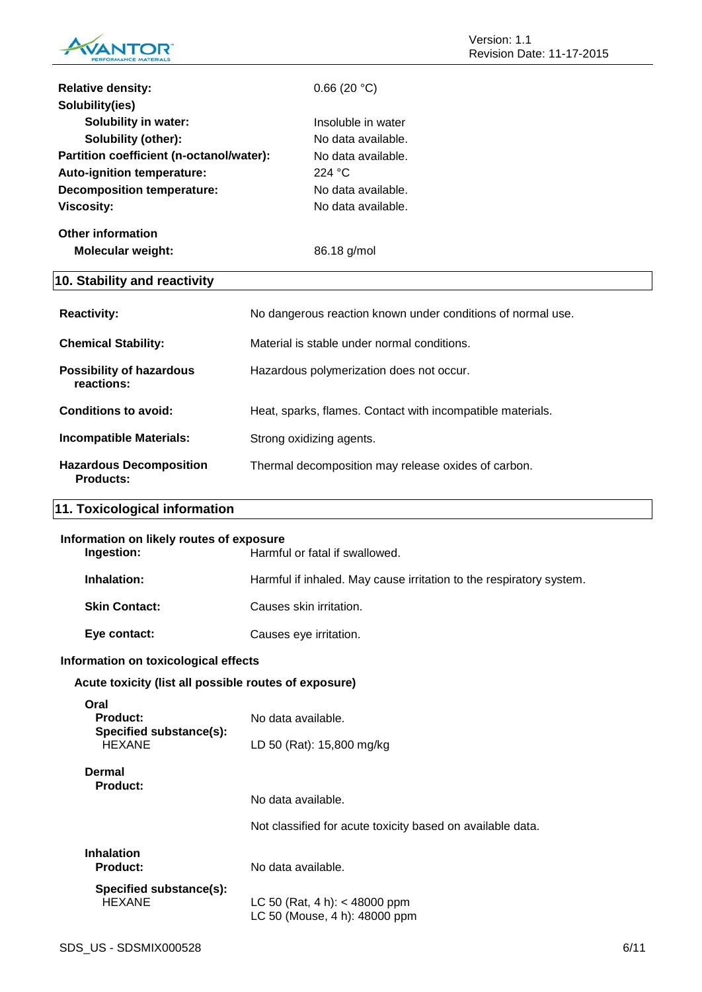

| <b>Relative density:</b>                 | 0.66(20 °C)        |
|------------------------------------------|--------------------|
| Solubility(ies)                          |                    |
| <b>Solubility in water:</b>              | Insoluble in water |
| Solubility (other):                      | No data available. |
| Partition coefficient (n-octanol/water): | No data available. |
| Auto-ignition temperature:               | 224 $^{\circ}$ C   |
| <b>Decomposition temperature:</b>        | No data available. |
| <b>Viscosity:</b>                        | No data available. |
| <b>Other information</b>                 |                    |
| <b>Molecular weight:</b>                 | 86.18 g/mol        |
|                                          |                    |

## **10. Stability and reactivity**

| <b>Reactivity:</b>                                 | No dangerous reaction known under conditions of normal use. |
|----------------------------------------------------|-------------------------------------------------------------|
| <b>Chemical Stability:</b>                         | Material is stable under normal conditions.                 |
| <b>Possibility of hazardous</b><br>reactions:      | Hazardous polymerization does not occur.                    |
| Conditions to avoid:                               | Heat, sparks, flames. Contact with incompatible materials.  |
| <b>Incompatible Materials:</b>                     | Strong oxidizing agents.                                    |
| <b>Hazardous Decomposition</b><br><b>Products:</b> | Thermal decomposition may release oxides of carbon.         |

## **11. Toxicological information**

| Information on likely routes of exposure<br>Ingestion:       | Harmful or fatal if swallowed.                                                   |
|--------------------------------------------------------------|----------------------------------------------------------------------------------|
| Inhalation:                                                  | Harmful if inhaled. May cause irritation to the respiratory system.              |
| <b>Skin Contact:</b>                                         | Causes skin irritation.                                                          |
| Eye contact:                                                 | Causes eye irritation.                                                           |
| Information on toxicological effects                         |                                                                                  |
| Acute toxicity (list all possible routes of exposure)        |                                                                                  |
| Oral<br>Product:<br>Specified substance(s):<br><b>HEXANE</b> | No data available.<br>LD 50 (Rat): 15,800 mg/kg                                  |
| Dermal<br><b>Product:</b>                                    | No data available.<br>Not classified for acute toxicity based on available data. |
|                                                              |                                                                                  |
| <b>Inhalation</b><br><b>Product:</b>                         | No data available.                                                               |
| Specified substance(s):<br><b>HEXANE</b>                     | LC 50 (Rat, 4 h): $<$ 48000 ppm<br>LC 50 (Mouse, 4 h): 48000 ppm                 |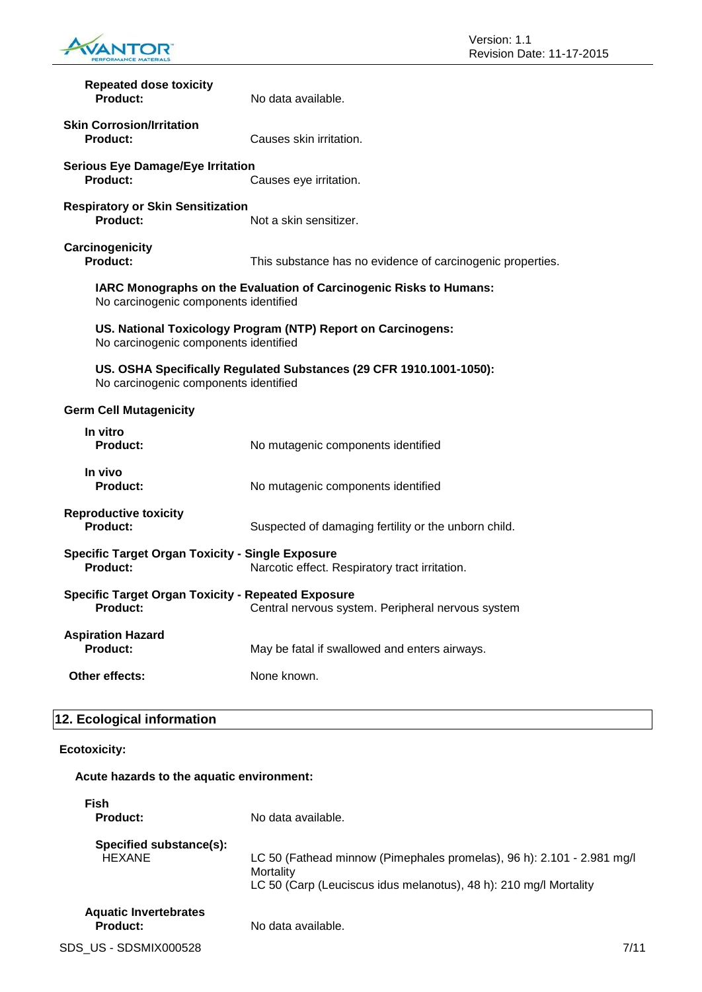

| <b>Repeated dose toxicity</b><br>Product:                                                                                         | No data available.                                           |
|-----------------------------------------------------------------------------------------------------------------------------------|--------------------------------------------------------------|
| <b>Skin Corrosion/Irritation</b><br>Product:                                                                                      | Causes skin irritation.                                      |
| <b>Serious Eye Damage/Eye Irritation</b><br>Product:<br>Causes eye irritation.                                                    |                                                              |
| <b>Respiratory or Skin Sensitization</b><br>Product:                                                                              | Not a skin sensitizer.                                       |
| Carcinogenicity<br>Product:                                                                                                       | This substance has no evidence of carcinogenic properties.   |
| IARC Monographs on the Evaluation of Carcinogenic Risks to Humans:<br>No carcinogenic components identified                       |                                                              |
| No carcinogenic components identified                                                                                             | US. National Toxicology Program (NTP) Report on Carcinogens: |
| US. OSHA Specifically Regulated Substances (29 CFR 1910.1001-1050):<br>No carcinogenic components identified                      |                                                              |
| <b>Germ Cell Mutagenicity</b>                                                                                                     |                                                              |
| In vitro<br>Product:                                                                                                              | No mutagenic components identified                           |
| In vivo<br><b>Product:</b>                                                                                                        | No mutagenic components identified                           |
| <b>Reproductive toxicity</b><br>Product:                                                                                          | Suspected of damaging fertility or the unborn child.         |
| <b>Specific Target Organ Toxicity - Single Exposure</b><br>Product:<br>Narcotic effect. Respiratory tract irritation.             |                                                              |
| <b>Specific Target Organ Toxicity - Repeated Exposure</b><br><b>Product:</b><br>Central nervous system. Peripheral nervous system |                                                              |
| <b>Aspiration Hazard</b><br>Product:                                                                                              | May be fatal if swallowed and enters airways.                |
| Other effects:                                                                                                                    | None known.                                                  |

## **12. Ecological information**

## **Ecotoxicity:**

## **Acute hazards to the aquatic environment:**

| <b>Fish</b><br><b>Product:</b>           | No data available.                                                                                                                                       |      |
|------------------------------------------|----------------------------------------------------------------------------------------------------------------------------------------------------------|------|
| Specified substance(s):                  |                                                                                                                                                          |      |
| <b>HEXANE</b>                            | LC 50 (Fathead minnow (Pimephales promelas), 96 h): 2.101 - 2.981 mg/l<br>Mortality<br>LC 50 (Carp (Leuciscus idus melanotus), 48 h): 210 mg/l Mortality |      |
| <b>Aquatic Invertebrates</b><br>Product: | No data available.                                                                                                                                       |      |
| SDS US - SDSMIX000528                    |                                                                                                                                                          | 7/11 |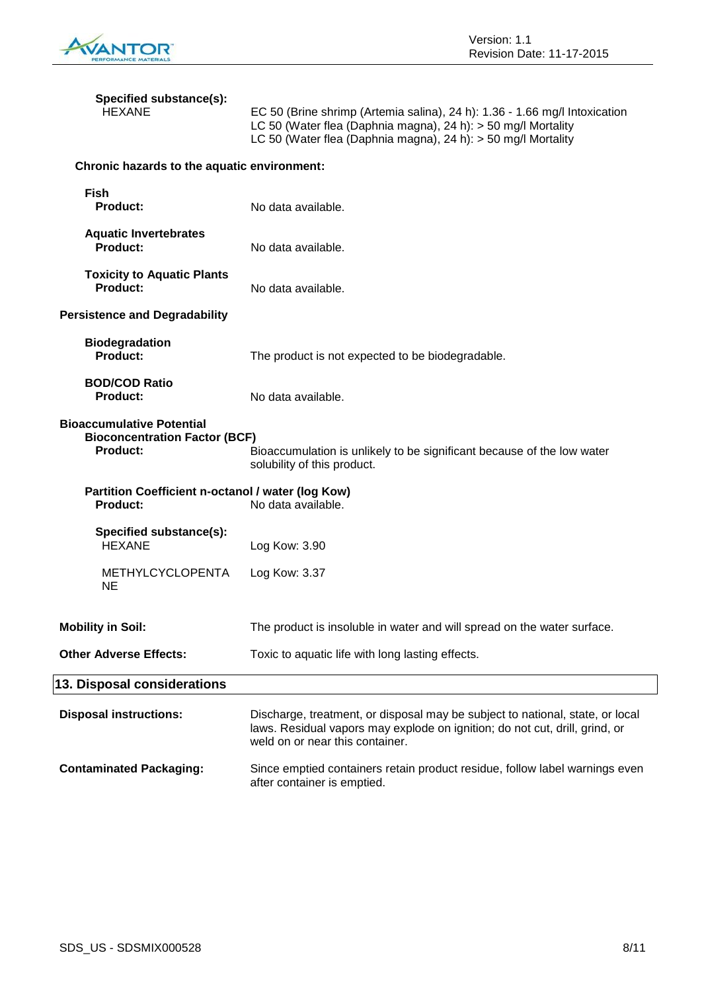

| Specified substance(s):<br><b>HEXANE</b>                                                    | EC 50 (Brine shrimp (Artemia salina), 24 h): 1.36 - 1.66 mg/l Intoxication<br>LC 50 (Water flea (Daphnia magna), 24 h): > 50 mg/l Mortality<br>LC 50 (Water flea (Daphnia magna), 24 h): > 50 mg/l Mortality |
|---------------------------------------------------------------------------------------------|--------------------------------------------------------------------------------------------------------------------------------------------------------------------------------------------------------------|
| Chronic hazards to the aquatic environment:                                                 |                                                                                                                                                                                                              |
| <b>Fish</b><br><b>Product:</b>                                                              | No data available.                                                                                                                                                                                           |
| <b>Aquatic Invertebrates</b><br><b>Product:</b>                                             | No data available.                                                                                                                                                                                           |
| <b>Toxicity to Aquatic Plants</b><br>Product:                                               | No data available.                                                                                                                                                                                           |
| <b>Persistence and Degradability</b>                                                        |                                                                                                                                                                                                              |
| <b>Biodegradation</b><br><b>Product:</b>                                                    | The product is not expected to be biodegradable.                                                                                                                                                             |
| <b>BOD/COD Ratio</b><br><b>Product:</b>                                                     | No data available.                                                                                                                                                                                           |
| <b>Bioaccumulative Potential</b><br><b>Bioconcentration Factor (BCF)</b><br><b>Product:</b> | Bioaccumulation is unlikely to be significant because of the low water<br>solubility of this product.                                                                                                        |
| Partition Coefficient n-octanol / water (log Kow)<br><b>Product:</b>                        | No data available.                                                                                                                                                                                           |
| Specified substance(s):<br><b>HEXANE</b>                                                    | Log Kow: 3.90                                                                                                                                                                                                |
| <b>METHYLCYCLOPENTA</b><br><b>NE</b>                                                        | Log Kow: 3.37                                                                                                                                                                                                |
| <b>Mobility in Soil:</b>                                                                    | The product is insoluble in water and will spread on the water surface.                                                                                                                                      |
| <b>Other Adverse Effects:</b>                                                               | Toxic to aquatic life with long lasting effects.                                                                                                                                                             |
| 13. Disposal considerations                                                                 |                                                                                                                                                                                                              |
| <b>Disposal instructions:</b>                                                               | Discharge, treatment, or disposal may be subject to national, state, or local<br>laws. Residual vapors may explode on ignition; do not cut, drill, grind, or<br>weld on or near this container.              |
| <b>Contaminated Packaging:</b>                                                              | Since emptied containers retain product residue, follow label warnings even<br>after container is emptied.                                                                                                   |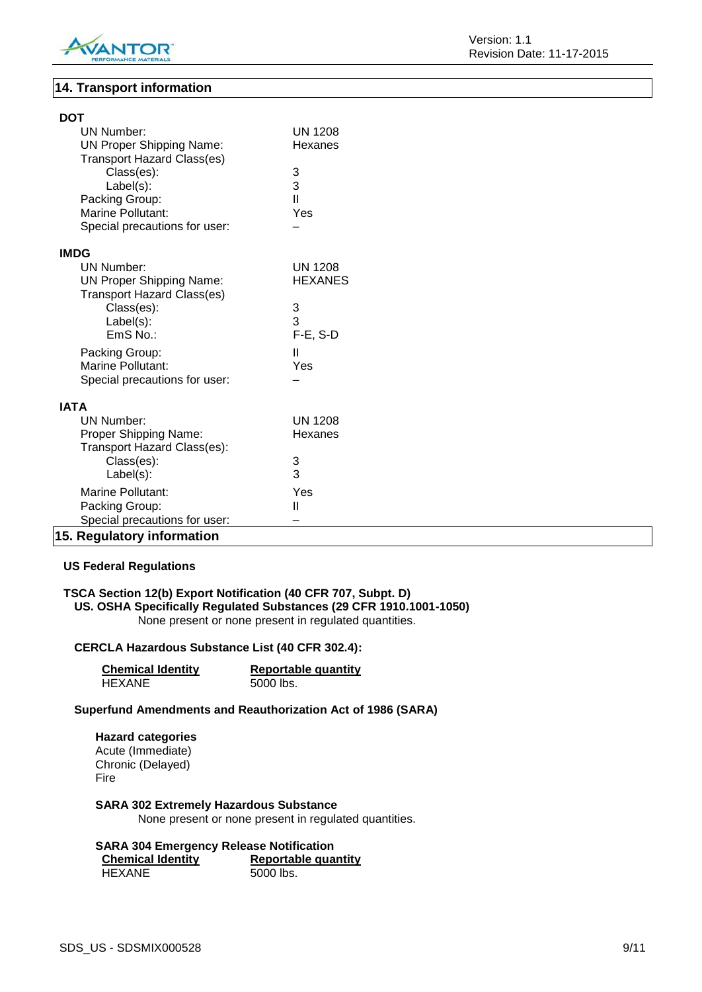

**DOT**

## **14. Transport information**

| וטע                               |                |
|-----------------------------------|----------------|
| <b>UN Number:</b>                 | <b>UN 1208</b> |
| <b>UN Proper Shipping Name:</b>   | Hexanes        |
| <b>Transport Hazard Class(es)</b> |                |
| Class(es):                        | 3              |
| Label(s):                         | 3              |
| Packing Group:                    | $\mathbf{I}$   |
| <b>Marine Pollutant:</b>          | Yes            |
| Special precautions for user:     |                |
| <b>IMDG</b>                       |                |
| UN Number:                        | <b>UN 1208</b> |
| <b>UN Proper Shipping Name:</b>   | <b>HEXANES</b> |
| <b>Transport Hazard Class(es)</b> |                |
| Class(es):                        | 3              |
| $Label(s)$ :                      | 3              |
| EmS No.:                          | $F-E$ , S-D    |
|                                   |                |
| Packing Group:                    | Ш              |
| <b>Marine Pollutant:</b>          | Yes            |
| Special precautions for user:     |                |
| <b>IATA</b>                       |                |
| UN Number:                        | <b>UN 1208</b> |
| Proper Shipping Name:             | Hexanes        |
| Transport Hazard Class(es):       |                |
| Class(es):                        | 3              |
| $Label(s)$ :                      | 3              |
| <b>Marine Pollutant:</b>          | Yes            |
| Packing Group:                    | $\mathbf{II}$  |
| Special precautions for user:     |                |
| 15. Regulatory information        |                |

## **US Federal Regulations**

## **TSCA Section 12(b) Export Notification (40 CFR 707, Subpt. D) US. OSHA Specifically Regulated Substances (29 CFR 1910.1001-1050)** None present or none present in regulated quantities.

## **CERCLA Hazardous Substance List (40 CFR 302.4):**

| <b>Chemical Identity</b> | <b>Reportable quantity</b> |
|--------------------------|----------------------------|
| HEXANE                   | 5000 lbs.                  |

## **Superfund Amendments and Reauthorization Act of 1986 (SARA)**

## **Hazard categories** Acute (Immediate) Chronic (Delayed) Fire

## **SARA 302 Extremely Hazardous Substance**

None present or none present in regulated quantities.

#### **SARA 304 Emergency Release Notification**

| <b>Chemical Identity</b> | <b>Reportable quantity</b> |
|--------------------------|----------------------------|
| HEXANE                   | 5000 lbs.                  |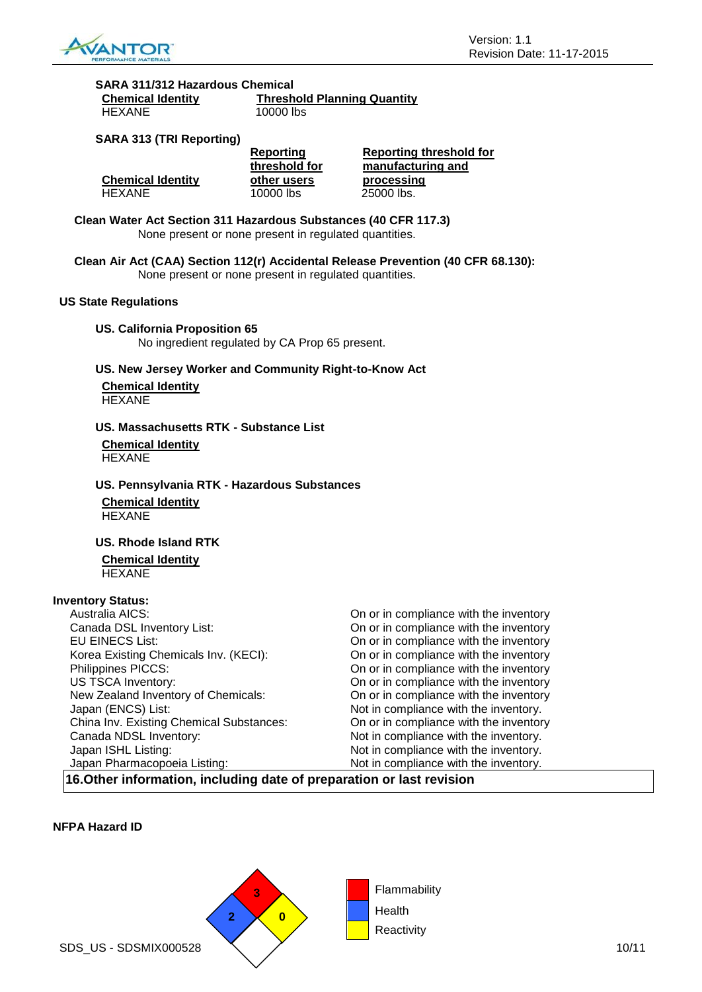

#### **SARA 311/312 Hazardous Chemical Chemical Identity Threshold Planning Quantity**

| <b>Chemical Identity</b> | Threshold Planning Quantity |
|--------------------------|-----------------------------|
| <b>HEXANE</b>            | 10000 lbs                   |

## **SARA 313 (TRI Reporting)**

|                          | Reporting     | Reporting threshold for |
|--------------------------|---------------|-------------------------|
|                          | threshold for | manufacturing and       |
| <b>Chemical Identity</b> | other users   | processing              |
|                          |               |                         |

**Clean Water Act Section 311 Hazardous Substances (40 CFR 117.3)** None present or none present in regulated quantities.

**Clean Air Act (CAA) Section 112(r) Accidental Release Prevention (40 CFR 68.130):** None present or none present in regulated quantities.

#### **US State Regulations**

**US. California Proposition 65** No ingredient regulated by CA Prop 65 present.

**US. New Jersey Worker and Community Right-to-Know Act**

**Chemical Identity** HEXANE

## **US. Massachusetts RTK - Substance List**

**Chemical Identity HEXANE** 

## **US. Pennsylvania RTK - Hazardous Substances Chemical Identity**

HEXANE

## **US. Rhode Island RTK**

**Chemical Identity HEXANE** 

## **Inventory Status:**

| Australia AICS:                          | On or in compliance with the inventory |
|------------------------------------------|----------------------------------------|
| Canada DSL Inventory List:               | On or in compliance with the inventory |
| <b>EU EINECS List:</b>                   | On or in compliance with the inventory |
| Korea Existing Chemicals Inv. (KECI):    | On or in compliance with the inventory |
| Philippines PICCS:                       | On or in compliance with the inventory |
| US TSCA Inventory:                       | On or in compliance with the inventory |
| New Zealand Inventory of Chemicals:      | On or in compliance with the inventory |
| Japan (ENCS) List:                       | Not in compliance with the inventory.  |
| China Inv. Existing Chemical Substances: | On or in compliance with the inventory |
| Canada NDSL Inventory:                   | Not in compliance with the inventory.  |
| Japan ISHL Listing:                      | Not in compliance with the inventory.  |
| Japan Pharmacopoeia Listing:             | Not in compliance with the inventory.  |
|                                          |                                        |

**16.Other information, including date of preparation or last revision**

## **NFPA Hazard ID**